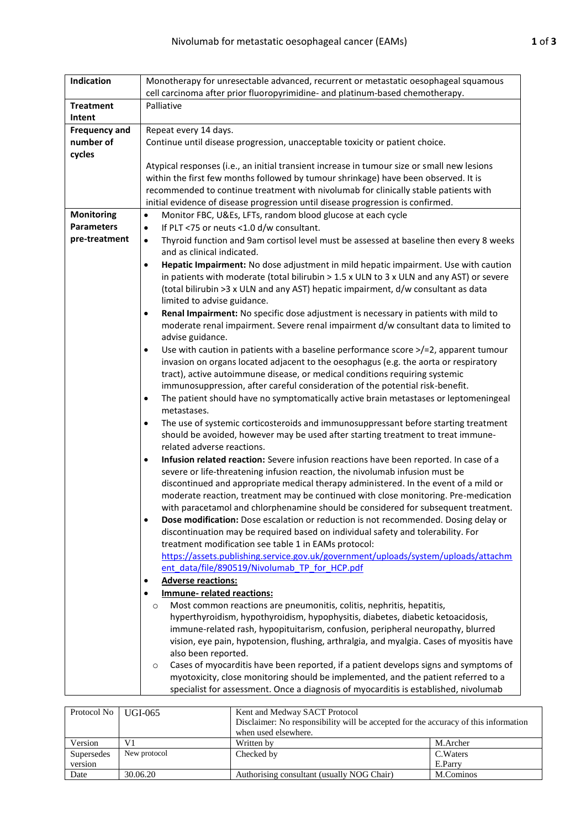| Indication                             | Monotherapy for unresectable advanced, recurrent or metastatic oesophageal squamous                                                                                                   |  |  |  |  |  |
|----------------------------------------|---------------------------------------------------------------------------------------------------------------------------------------------------------------------------------------|--|--|--|--|--|
|                                        | cell carcinoma after prior fluoropyrimidine- and platinum-based chemotherapy.                                                                                                         |  |  |  |  |  |
| <b>Treatment</b>                       | Palliative                                                                                                                                                                            |  |  |  |  |  |
| Intent                                 |                                                                                                                                                                                       |  |  |  |  |  |
| <b>Frequency and</b>                   | Repeat every 14 days.                                                                                                                                                                 |  |  |  |  |  |
| number of                              | Continue until disease progression, unacceptable toxicity or patient choice.                                                                                                          |  |  |  |  |  |
| cycles                                 |                                                                                                                                                                                       |  |  |  |  |  |
|                                        | Atypical responses (i.e., an initial transient increase in tumour size or small new lesions                                                                                           |  |  |  |  |  |
|                                        | within the first few months followed by tumour shrinkage) have been observed. It is                                                                                                   |  |  |  |  |  |
|                                        | recommended to continue treatment with nivolumab for clinically stable patients with                                                                                                  |  |  |  |  |  |
|                                        | initial evidence of disease progression until disease progression is confirmed.                                                                                                       |  |  |  |  |  |
| <b>Monitoring</b><br><b>Parameters</b> | Monitor FBC, U&Es, LFTs, random blood glucose at each cycle<br>$\bullet$                                                                                                              |  |  |  |  |  |
| pre-treatment                          | If PLT <75 or neuts <1.0 d/w consultant.<br>$\bullet$                                                                                                                                 |  |  |  |  |  |
|                                        | Thyroid function and 9am cortisol level must be assessed at baseline then every 8 weeks<br>$\bullet$<br>and as clinical indicated.                                                    |  |  |  |  |  |
|                                        | Hepatic Impairment: No dose adjustment in mild hepatic impairment. Use with caution<br>٠                                                                                              |  |  |  |  |  |
|                                        | in patients with moderate (total bilirubin $> 1.5$ x ULN to 3 x ULN and any AST) or severe                                                                                            |  |  |  |  |  |
|                                        | (total bilirubin >3 x ULN and any AST) hepatic impairment, d/w consultant as data                                                                                                     |  |  |  |  |  |
|                                        | limited to advise guidance.                                                                                                                                                           |  |  |  |  |  |
|                                        | Renal Impairment: No specific dose adjustment is necessary in patients with mild to<br>$\bullet$                                                                                      |  |  |  |  |  |
|                                        | moderate renal impairment. Severe renal impairment d/w consultant data to limited to                                                                                                  |  |  |  |  |  |
|                                        | advise guidance.                                                                                                                                                                      |  |  |  |  |  |
|                                        | Use with caution in patients with a baseline performance score $\ge$ /=2, apparent tumour<br>$\bullet$                                                                                |  |  |  |  |  |
|                                        | invasion on organs located adjacent to the oesophagus (e.g. the aorta or respiratory                                                                                                  |  |  |  |  |  |
|                                        | tract), active autoimmune disease, or medical conditions requiring systemic                                                                                                           |  |  |  |  |  |
|                                        | immunosuppression, after careful consideration of the potential risk-benefit.                                                                                                         |  |  |  |  |  |
|                                        | The patient should have no symptomatically active brain metastases or leptomeningeal<br>٠                                                                                             |  |  |  |  |  |
|                                        | metastases.                                                                                                                                                                           |  |  |  |  |  |
|                                        | The use of systemic corticosteroids and immunosuppressant before starting treatment<br>٠                                                                                              |  |  |  |  |  |
|                                        | should be avoided, however may be used after starting treatment to treat immune-                                                                                                      |  |  |  |  |  |
|                                        | related adverse reactions.                                                                                                                                                            |  |  |  |  |  |
|                                        | Infusion related reaction: Severe infusion reactions have been reported. In case of a<br>٠<br>severe or life-threatening infusion reaction, the nivolumab infusion must be            |  |  |  |  |  |
|                                        | discontinued and appropriate medical therapy administered. In the event of a mild or                                                                                                  |  |  |  |  |  |
|                                        | moderate reaction, treatment may be continued with close monitoring. Pre-medication                                                                                                   |  |  |  |  |  |
|                                        | with paracetamol and chlorphenamine should be considered for subsequent treatment.                                                                                                    |  |  |  |  |  |
|                                        | Dose modification: Dose escalation or reduction is not recommended. Dosing delay or<br>$\bullet$                                                                                      |  |  |  |  |  |
|                                        | discontinuation may be required based on individual safety and tolerability. For                                                                                                      |  |  |  |  |  |
|                                        | treatment modification see table 1 in EAMs protocol:                                                                                                                                  |  |  |  |  |  |
|                                        | https://assets.publishing.service.gov.uk/government/uploads/system/uploads/attachm                                                                                                    |  |  |  |  |  |
|                                        | ent data/file/890519/Nivolumab TP for HCP.pdf                                                                                                                                         |  |  |  |  |  |
|                                        | <b>Adverse reactions:</b>                                                                                                                                                             |  |  |  |  |  |
|                                        | <b>Immune- related reactions:</b>                                                                                                                                                     |  |  |  |  |  |
|                                        | Most common reactions are pneumonitis, colitis, nephritis, hepatitis,<br>$\circ$                                                                                                      |  |  |  |  |  |
|                                        | hyperthyroidism, hypothyroidism, hypophysitis, diabetes, diabetic ketoacidosis,                                                                                                       |  |  |  |  |  |
|                                        | immune-related rash, hypopituitarism, confusion, peripheral neuropathy, blurred                                                                                                       |  |  |  |  |  |
|                                        | vision, eye pain, hypotension, flushing, arthralgia, and myalgia. Cases of myositis have                                                                                              |  |  |  |  |  |
|                                        | also been reported.                                                                                                                                                                   |  |  |  |  |  |
|                                        | Cases of myocarditis have been reported, if a patient develops signs and symptoms of<br>$\circ$<br>myotoxicity, close monitoring should be implemented, and the patient referred to a |  |  |  |  |  |
|                                        | specialist for assessment. Once a diagnosis of myocarditis is established, nivolumab                                                                                                  |  |  |  |  |  |
|                                        |                                                                                                                                                                                       |  |  |  |  |  |

| Protocol No   UGI-065 |              | Kent and Medway SACT Protocol<br>Disclaimer: No responsibility will be accepted for the accuracy of this information<br>when used elsewhere. |           |  |  |
|-----------------------|--------------|----------------------------------------------------------------------------------------------------------------------------------------------|-----------|--|--|
| Version               | V1           | Written by                                                                                                                                   | M.Archer  |  |  |
| Supersedes            | New protocol | Checked by                                                                                                                                   | C. Waters |  |  |
| version               |              |                                                                                                                                              | E.Parry   |  |  |
| Date                  | 30.06.20     | Authorising consultant (usually NOG Chair)                                                                                                   | M.Cominos |  |  |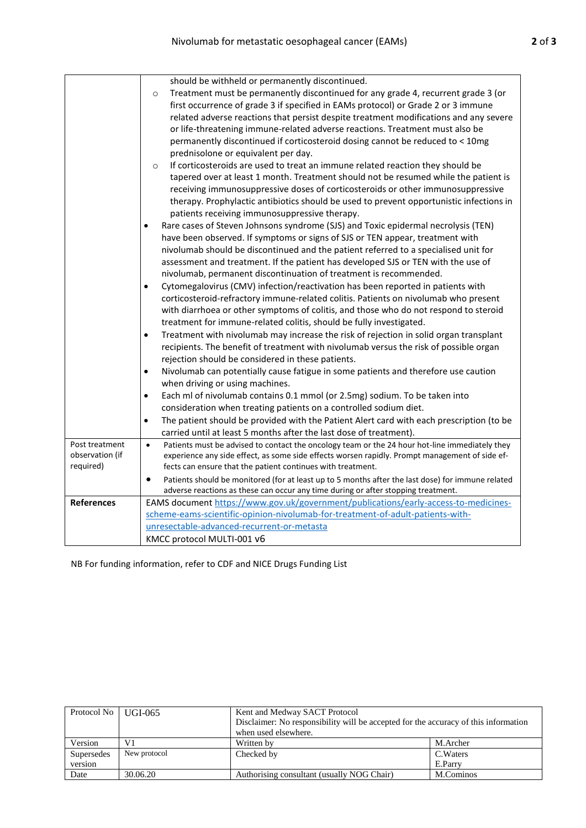|                   | should be withheld or permanently discontinued.                                                             |
|-------------------|-------------------------------------------------------------------------------------------------------------|
|                   | Treatment must be permanently discontinued for any grade 4, recurrent grade 3 (or<br>$\circ$                |
|                   | first occurrence of grade 3 if specified in EAMs protocol) or Grade 2 or 3 immune                           |
|                   | related adverse reactions that persist despite treatment modifications and any severe                       |
|                   | or life-threatening immune-related adverse reactions. Treatment must also be                                |
|                   | permanently discontinued if corticosteroid dosing cannot be reduced to < 10mg                               |
|                   | prednisolone or equivalent per day.                                                                         |
|                   | If corticosteroids are used to treat an immune related reaction they should be<br>$\circ$                   |
|                   | tapered over at least 1 month. Treatment should not be resumed while the patient is                         |
|                   | receiving immunosuppressive doses of corticosteroids or other immunosuppressive                             |
|                   | therapy. Prophylactic antibiotics should be used to prevent opportunistic infections in                     |
|                   | patients receiving immunosuppressive therapy.                                                               |
|                   | Rare cases of Steven Johnsons syndrome (SJS) and Toxic epidermal necrolysis (TEN)<br>$\bullet$              |
|                   | have been observed. If symptoms or signs of SJS or TEN appear, treatment with                               |
|                   | nivolumab should be discontinued and the patient referred to a specialised unit for                         |
|                   | assessment and treatment. If the patient has developed SJS or TEN with the use of                           |
|                   | nivolumab, permanent discontinuation of treatment is recommended.                                           |
|                   | Cytomegalovirus (CMV) infection/reactivation has been reported in patients with<br>$\bullet$                |
|                   | corticosteroid-refractory immune-related colitis. Patients on nivolumab who present                         |
|                   | with diarrhoea or other symptoms of colitis, and those who do not respond to steroid                        |
|                   | treatment for immune-related colitis, should be fully investigated.                                         |
|                   | Treatment with nivolumab may increase the risk of rejection in solid organ transplant<br>$\bullet$          |
|                   | recipients. The benefit of treatment with nivolumab versus the risk of possible organ                       |
|                   | rejection should be considered in these patients.                                                           |
|                   | Nivolumab can potentially cause fatigue in some patients and therefore use caution<br>٠                     |
|                   | when driving or using machines.                                                                             |
|                   | Each ml of nivolumab contains 0.1 mmol (or 2.5mg) sodium. To be taken into<br>٠                             |
|                   | consideration when treating patients on a controlled sodium diet.                                           |
|                   | The patient should be provided with the Patient Alert card with each prescription (to be<br>$\bullet$       |
|                   | carried until at least 5 months after the last dose of treatment).                                          |
| Post treatment    | $\bullet$<br>Patients must be advised to contact the oncology team or the 24 hour hot-line immediately they |
| observation (if   | experience any side effect, as some side effects worsen rapidly. Prompt management of side ef-              |
| required)         | fects can ensure that the patient continues with treatment.                                                 |
|                   | Patients should be monitored (for at least up to 5 months after the last dose) for immune related<br>٠      |
|                   | adverse reactions as these can occur any time during or after stopping treatment.                           |
| <b>References</b> | EAMS document https://www.gov.uk/government/publications/early-access-to-medicines-                         |
|                   | scheme-eams-scientific-opinion-nivolumab-for-treatment-of-adult-patients-with-                              |
|                   | unresectable-advanced-recurrent-or-metasta                                                                  |
|                   | KMCC protocol MULTI-001 v6                                                                                  |

NB For funding information, refer to CDF and NICE Drugs Funding List

| Protocol No   UGI-065 |              | Kent and Medway SACT Protocol                                                       |           |  |
|-----------------------|--------------|-------------------------------------------------------------------------------------|-----------|--|
|                       |              | Disclaimer: No responsibility will be accepted for the accuracy of this information |           |  |
|                       |              | when used elsewhere.                                                                |           |  |
| Version               | V1           | Written by                                                                          | M.Archer  |  |
| Supersedes            | New protocol | Checked by                                                                          | C. Waters |  |
| version               |              |                                                                                     | E.Parry   |  |
| Date                  | 30.06.20     | Authorising consultant (usually NOG Chair)                                          | M.Cominos |  |